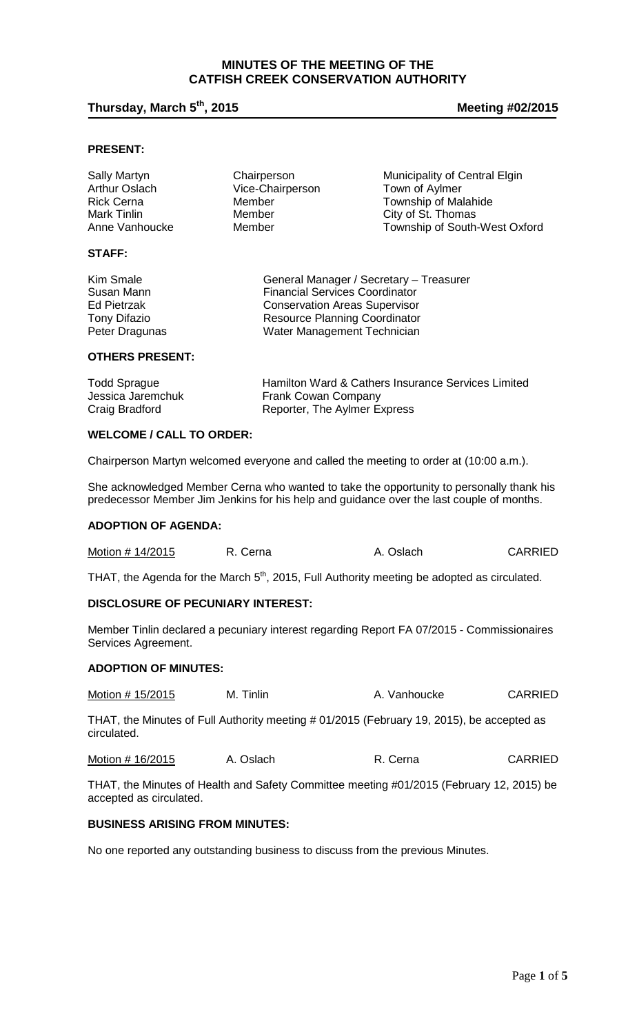## **MINUTES OF THE MEETING OF THE CATFISH CREEK CONSERVATION AUTHORITY**

# **Thursday, March 5th, 2015 Meeting #02/2015**

## **PRESENT:**

| <b>Sally Martyn</b><br><b>Arthur Oslach</b><br><b>Rick Cerna</b><br>Mark Tinlin | Chairperson<br>Vice-Chairperson<br>Member<br>Member | Municipality of Central Elgin<br>Town of Aylmer<br>Township of Malahide<br>City of St. Thomas |
|---------------------------------------------------------------------------------|-----------------------------------------------------|-----------------------------------------------------------------------------------------------|
| Anne Vanhoucke                                                                  | Member                                              | Township of South-West Oxford                                                                 |
| <b>STAFF</b>                                                                    |                                                     |                                                                                               |

| Kim Smale           | General Manager / Secretary - Treasurer |
|---------------------|-----------------------------------------|
| Susan Mann          | <b>Financial Services Coordinator</b>   |
| Ed Pietrzak         | <b>Conservation Areas Supervisor</b>    |
| <b>Tony Difazio</b> | <b>Resource Planning Coordinator</b>    |
| Peter Dragunas      | Water Management Technician             |

### **OTHERS PRESENT:**

| <b>Todd Sprague</b> | Hamilton Ward & Cathers Insurance Services Limited |
|---------------------|----------------------------------------------------|
| Jessica Jaremchuk   | <b>Frank Cowan Company</b>                         |
| Craig Bradford      | Reporter, The Aylmer Express                       |

#### **WELCOME / CALL TO ORDER:**

Chairperson Martyn welcomed everyone and called the meeting to order at (10:00 a.m.).

She acknowledged Member Cerna who wanted to take the opportunity to personally thank his predecessor Member Jim Jenkins for his help and guidance over the last couple of months.

#### **ADOPTION OF AGENDA:**

| Motion # 14/2015 | R. Cerna | A. Oslach | <b>CARRIED</b> |
|------------------|----------|-----------|----------------|
|------------------|----------|-----------|----------------|

THAT, the Agenda for the March 5<sup>th</sup>, 2015, Full Authority meeting be adopted as circulated.

#### **DISCLOSURE OF PECUNIARY INTEREST:**

Member Tinlin declared a pecuniary interest regarding Report FA 07/2015 - Commissionaires Services Agreement.

#### **ADOPTION OF MINUTES:**

| Motion # 15/2015 | M. Tinlin | A. Vanhoucke | <b>CARRIED</b> |
|------------------|-----------|--------------|----------------|
|                  |           |              |                |

THAT, the Minutes of Full Authority meeting # 01/2015 (February 19, 2015), be accepted as circulated.

Motion # 16/2015 A. Oslach R. Cerna CARRIED

THAT, the Minutes of Health and Safety Committee meeting #01/2015 (February 12, 2015) be accepted as circulated.

#### **BUSINESS ARISING FROM MINUTES:**

No one reported any outstanding business to discuss from the previous Minutes.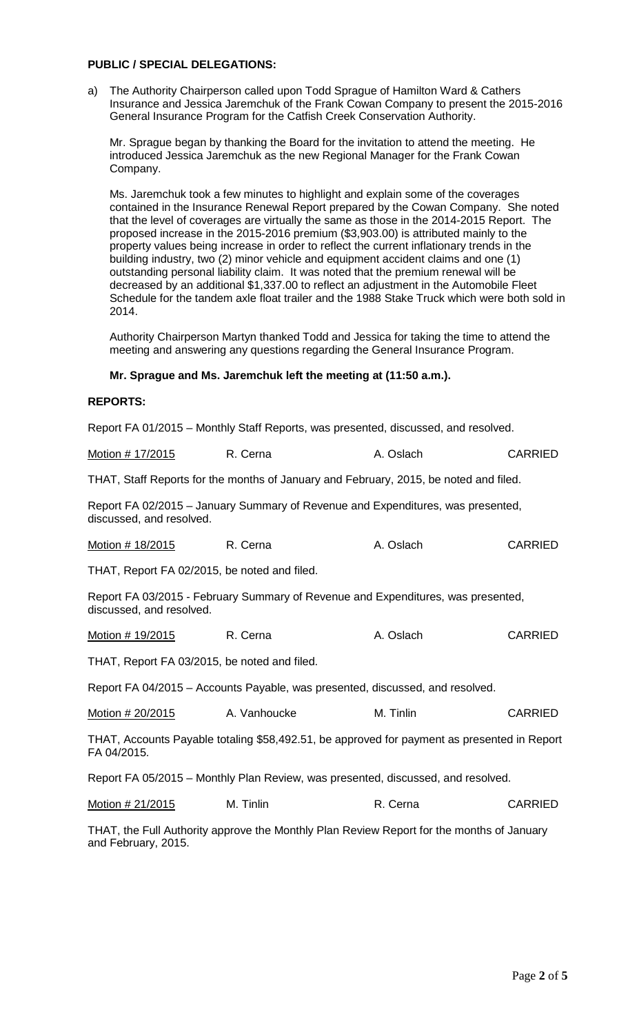## **PUBLIC / SPECIAL DELEGATIONS:**

a) The Authority Chairperson called upon Todd Sprague of Hamilton Ward & Cathers Insurance and Jessica Jaremchuk of the Frank Cowan Company to present the 2015-2016 General Insurance Program for the Catfish Creek Conservation Authority.

Mr. Sprague began by thanking the Board for the invitation to attend the meeting. He introduced Jessica Jaremchuk as the new Regional Manager for the Frank Cowan Company.

Ms. Jaremchuk took a few minutes to highlight and explain some of the coverages contained in the Insurance Renewal Report prepared by the Cowan Company. She noted that the level of coverages are virtually the same as those in the 2014-2015 Report. The proposed increase in the 2015-2016 premium (\$3,903.00) is attributed mainly to the property values being increase in order to reflect the current inflationary trends in the building industry, two (2) minor vehicle and equipment accident claims and one (1) outstanding personal liability claim. It was noted that the premium renewal will be decreased by an additional \$1,337.00 to reflect an adjustment in the Automobile Fleet Schedule for the tandem axle float trailer and the 1988 Stake Truck which were both sold in 2014.

Authority Chairperson Martyn thanked Todd and Jessica for taking the time to attend the meeting and answering any questions regarding the General Insurance Program.

#### **Mr. Sprague and Ms. Jaremchuk left the meeting at (11:50 a.m.).**

#### **REPORTS:**

Report FA 01/2015 – Monthly Staff Reports, was presented, discussed, and resolved.

| Motion # 17/2015 | R. Cerna | A. Oslach | <b>CARRIED</b> |
|------------------|----------|-----------|----------------|
|                  |          |           |                |

THAT, Staff Reports for the months of January and February, 2015, be noted and filed.

Report FA 02/2015 – January Summary of Revenue and Expenditures, was presented, discussed, and resolved.

Motion # 18/2015 R. Cerna A. Oslach CARRIED

THAT, Report FA 02/2015, be noted and filed.

Report FA 03/2015 - February Summary of Revenue and Expenditures, was presented, discussed, and resolved.

| Motion # 19/2015<br>R. Cerna | A. Oslach | <b>CARRIED</b> |
|------------------------------|-----------|----------------|
|------------------------------|-----------|----------------|

THAT, Report FA 03/2015, be noted and filed.

Report FA 04/2015 – Accounts Payable, was presented, discussed, and resolved.

| Motion # 20/2015<br>M. Tinlin<br>A. Vanhoucke | <b>CARRIED</b> |
|-----------------------------------------------|----------------|
|-----------------------------------------------|----------------|

THAT, Accounts Payable totaling \$58,492.51, be approved for payment as presented in Report FA 04/2015.

Report FA 05/2015 – Monthly Plan Review, was presented, discussed, and resolved.

| Motion # 21/2015<br>M. Tinlin | R. Cerna | <b>CARRIED</b> |
|-------------------------------|----------|----------------|
|-------------------------------|----------|----------------|

THAT, the Full Authority approve the Monthly Plan Review Report for the months of January and February, 2015.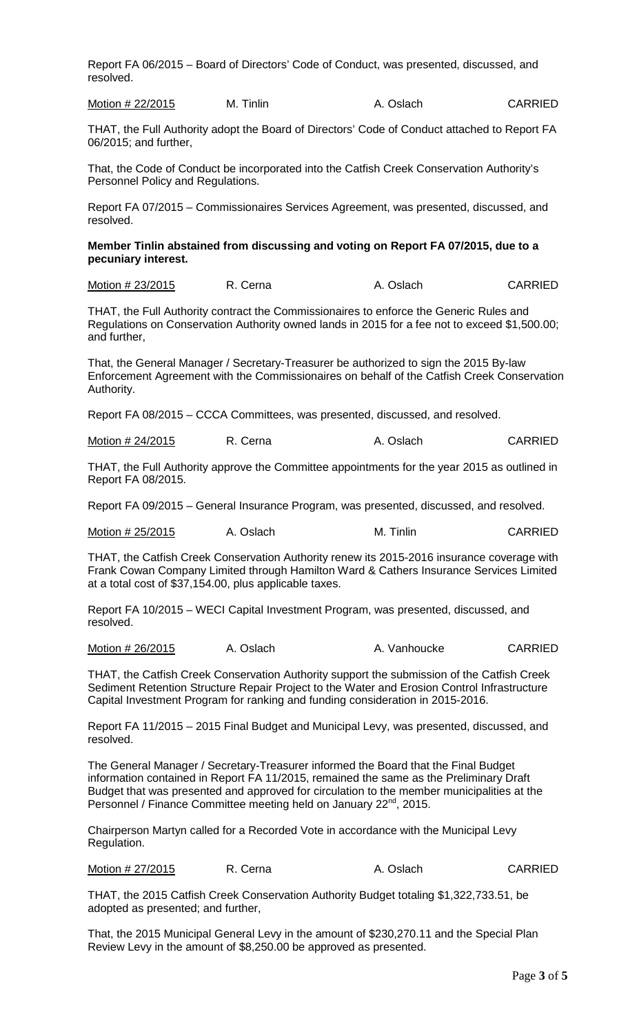Report FA 06/2015 – Board of Directors' Code of Conduct, was presented, discussed, and resolved.

Motion # 22/2015 M. Tinlin A. Oslach CARRIED

THAT, the Full Authority adopt the Board of Directors' Code of Conduct attached to Report FA 06/2015; and further,

That, the Code of Conduct be incorporated into the Catfish Creek Conservation Authority's Personnel Policy and Regulations.

Report FA 07/2015 – Commissionaires Services Agreement, was presented, discussed, and resolved.

## **Member Tinlin abstained from discussing and voting on Report FA 07/2015, due to a pecuniary interest.**

Motion # 23/2015 R. Cerna A. Oslach CARRIED

THAT, the Full Authority contract the Commissionaires to enforce the Generic Rules and Regulations on Conservation Authority owned lands in 2015 for a fee not to exceed \$1,500.00; and further,

That, the General Manager / Secretary-Treasurer be authorized to sign the 2015 By-law Enforcement Agreement with the Commissionaires on behalf of the Catfish Creek Conservation Authority.

Report FA 08/2015 – CCCA Committees, was presented, discussed, and resolved.

Motion # 24/2015 R. Cerna A. Oslach CARRIED

THAT, the Full Authority approve the Committee appointments for the year 2015 as outlined in Report FA 08/2015.

Report FA 09/2015 – General Insurance Program, was presented, discussed, and resolved.

Motion # 25/2015 A. Oslach M. Tinlin CARRIED

THAT, the Catfish Creek Conservation Authority renew its 2015-2016 insurance coverage with Frank Cowan Company Limited through Hamilton Ward & Cathers Insurance Services Limited at a total cost of \$37,154.00, plus applicable taxes.

Report FA 10/2015 – WECI Capital Investment Program, was presented, discussed, and resolved.

Motion # 26/2015 A. Oslach A. Vanhoucke CARRIED

THAT, the Catfish Creek Conservation Authority support the submission of the Catfish Creek Sediment Retention Structure Repair Project to the Water and Erosion Control Infrastructure Capital Investment Program for ranking and funding consideration in 2015-2016.

Report FA 11/2015 – 2015 Final Budget and Municipal Levy, was presented, discussed, and resolved.

The General Manager / Secretary-Treasurer informed the Board that the Final Budget information contained in Report FA 11/2015, remained the same as the Preliminary Draft Budget that was presented and approved for circulation to the member municipalities at the Personnel / Finance Committee meeting held on January 22<sup>nd</sup>, 2015.

Chairperson Martyn called for a Recorded Vote in accordance with the Municipal Levy Regulation.

Motion # 27/2015 R. Cerna A. Oslach CARRIED

THAT, the 2015 Catfish Creek Conservation Authority Budget totaling \$1,322,733.51, be adopted as presented; and further,

That, the 2015 Municipal General Levy in the amount of \$230,270.11 and the Special Plan Review Levy in the amount of \$8,250.00 be approved as presented.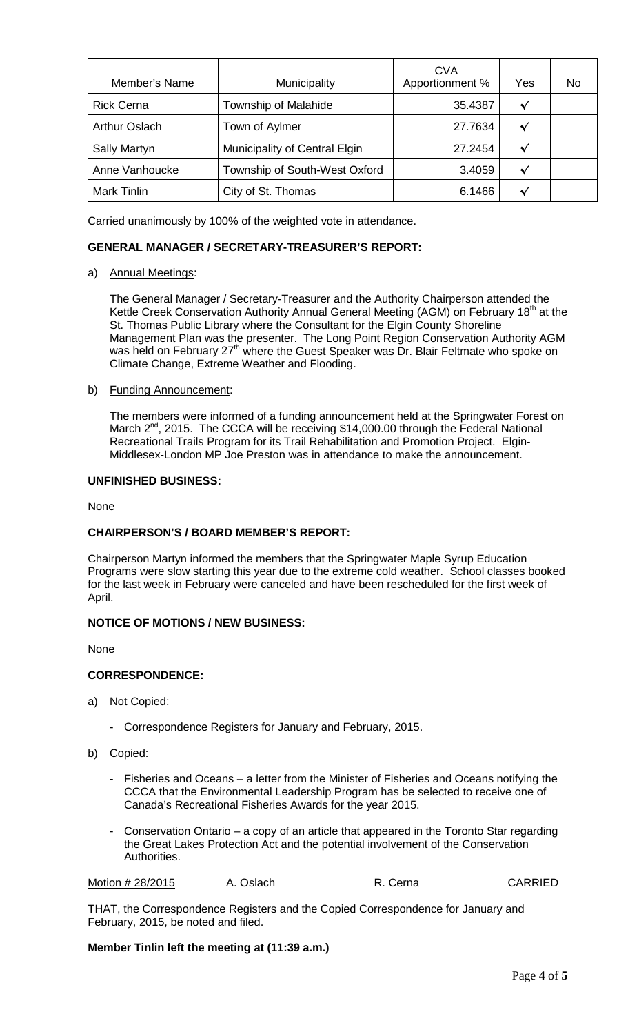| Member's Name        | Municipality                  | <b>CVA</b><br>Apportionment % | Yes | No |
|----------------------|-------------------------------|-------------------------------|-----|----|
| <b>Rick Cerna</b>    | Township of Malahide          | 35.4387                       | √   |    |
| <b>Arthur Oslach</b> | Town of Aylmer                | 27.7634                       | ᄿ   |    |
| <b>Sally Martyn</b>  | Municipality of Central Elgin | 27.2454                       | √   |    |
| Anne Vanhoucke       | Township of South-West Oxford | 3.4059                        | ᄿ   |    |
| <b>Mark Tinlin</b>   | City of St. Thomas            | 6.1466                        | ◆   |    |

Carried unanimously by 100% of the weighted vote in attendance.

## **GENERAL MANAGER / SECRETARY-TREASURER'S REPORT:**

## a) Annual Meetings:

The General Manager / Secretary-Treasurer and the Authority Chairperson attended the Kettle Creek Conservation Authority Annual General Meeting (AGM) on February 18<sup>th</sup> at the St. Thomas Public Library where the Consultant for the Elgin County Shoreline Management Plan was the presenter. The Long Point Region Conservation Authority AGM was held on February 27<sup>th</sup> where the Guest Speaker was Dr. Blair Feltmate who spoke on Climate Change, Extreme Weather and Flooding.

#### b) Funding Announcement:

The members were informed of a funding announcement held at the Springwater Forest on March 2<sup>nd</sup>, 2015. The CCCA will be receiving \$14,000.00 through the Federal National Recreational Trails Program for its Trail Rehabilitation and Promotion Project. Elgin-Middlesex-London MP Joe Preston was in attendance to make the announcement.

#### **UNFINISHED BUSINESS:**

None

## **CHAIRPERSON'S / BOARD MEMBER'S REPORT:**

Chairperson Martyn informed the members that the Springwater Maple Syrup Education Programs were slow starting this year due to the extreme cold weather. School classes booked for the last week in February were canceled and have been rescheduled for the first week of April.

## **NOTICE OF MOTIONS / NEW BUSINESS:**

None

#### **CORRESPONDENCE:**

- a) Not Copied:
	- Correspondence Registers for January and February, 2015.
- b) Copied:
	- Fisheries and Oceans a letter from the Minister of Fisheries and Oceans notifying the CCCA that the Environmental Leadership Program has be selected to receive one of Canada's Recreational Fisheries Awards for the year 2015.
	- Conservation Ontario a copy of an article that appeared in the Toronto Star regarding the Great Lakes Protection Act and the potential involvement of the Conservation Authorities.

```
Motion # 28/2015 A. Oslach R. Cerna CARRIED
```
THAT, the Correspondence Registers and the Copied Correspondence for January and February, 2015, be noted and filed.

**Member Tinlin left the meeting at (11:39 a.m.)**